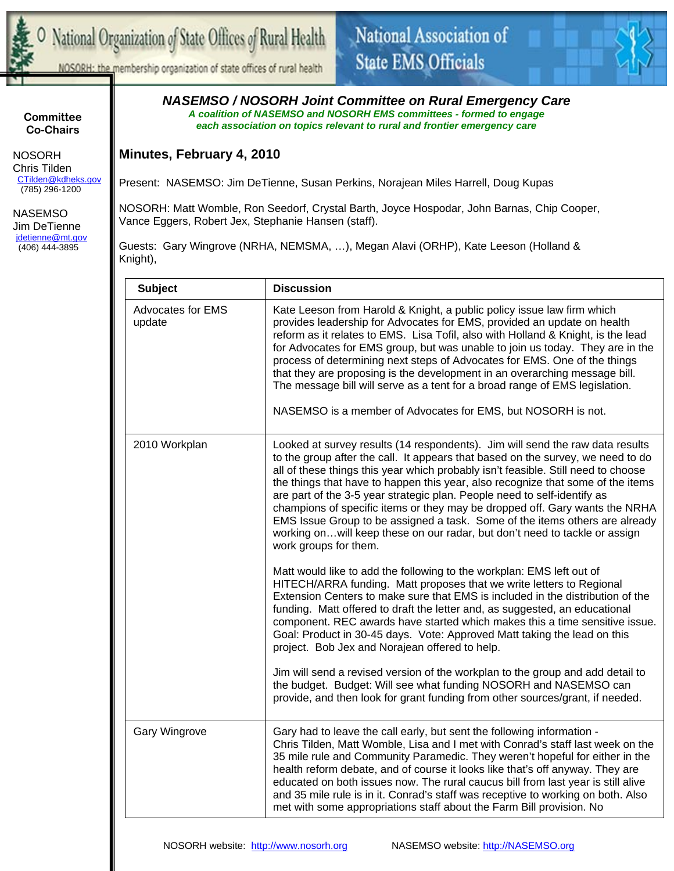



NOSORH: the membership organization of state offices of rural health

## **Committee Co-Chairs**

 NOSORH Chris Tilden CTilden@kdheks.gov (785) 296-1200

 NASEMSO Jim DeTienne jdetienne@mt.gov (406) 444-3895

*NASEMSO / NOSORH Joint Committee on Rural Emergency Care A coalition of NASEMSO and NOSORH EMS committees - formed to engage each association on topics relevant to rural and frontier emergency care* 

## **Minutes, February 4, 2010**

Present: NASEMSO: Jim DeTienne, Susan Perkins, Norajean Miles Harrell, Doug Kupas

NOSORH: Matt Womble, Ron Seedorf, Crystal Barth, Joyce Hospodar, John Barnas, Chip Cooper, Vance Eggers, Robert Jex, Stephanie Hansen (staff).

Guests: Gary Wingrove (NRHA, NEMSMA, …), Megan Alavi (ORHP), Kate Leeson (Holland & Knight),

| <b>Subject</b>                     | <b>Discussion</b>                                                                                                                                                                                                                                                                                                                                                                                                                                                                                                                                                                                                                                                                                                                                                  |
|------------------------------------|--------------------------------------------------------------------------------------------------------------------------------------------------------------------------------------------------------------------------------------------------------------------------------------------------------------------------------------------------------------------------------------------------------------------------------------------------------------------------------------------------------------------------------------------------------------------------------------------------------------------------------------------------------------------------------------------------------------------------------------------------------------------|
| <b>Advocates for EMS</b><br>update | Kate Leeson from Harold & Knight, a public policy issue law firm which<br>provides leadership for Advocates for EMS, provided an update on health<br>reform as it relates to EMS. Lisa Tofil, also with Holland & Knight, is the lead<br>for Advocates for EMS group, but was unable to join us today. They are in the<br>process of determining next steps of Advocates for EMS. One of the things<br>that they are proposing is the development in an overarching message bill.<br>The message bill will serve as a tent for a broad range of EMS legislation.<br>NASEMSO is a member of Advocates for EMS, but NOSORH is not.                                                                                                                                   |
| 2010 Workplan                      | Looked at survey results (14 respondents). Jim will send the raw data results<br>to the group after the call. It appears that based on the survey, we need to do<br>all of these things this year which probably isn't feasible. Still need to choose<br>the things that have to happen this year, also recognize that some of the items<br>are part of the 3-5 year strategic plan. People need to self-identify as<br>champions of specific items or they may be dropped off. Gary wants the NRHA<br>EMS Issue Group to be assigned a task. Some of the items others are already<br>working onwill keep these on our radar, but don't need to tackle or assign<br>work groups for them.                                                                          |
|                                    | Matt would like to add the following to the workplan: EMS left out of<br>HITECH/ARRA funding. Matt proposes that we write letters to Regional<br>Extension Centers to make sure that EMS is included in the distribution of the<br>funding. Matt offered to draft the letter and, as suggested, an educational<br>component. REC awards have started which makes this a time sensitive issue.<br>Goal: Product in 30-45 days. Vote: Approved Matt taking the lead on this<br>project. Bob Jex and Norajean offered to help.<br>Jim will send a revised version of the workplan to the group and add detail to<br>the budget. Budget: Will see what funding NOSORH and NASEMSO can<br>provide, and then look for grant funding from other sources/grant, if needed. |
|                                    |                                                                                                                                                                                                                                                                                                                                                                                                                                                                                                                                                                                                                                                                                                                                                                    |
| <b>Gary Wingrove</b>               | Gary had to leave the call early, but sent the following information -<br>Chris Tilden, Matt Womble, Lisa and I met with Conrad's staff last week on the<br>35 mile rule and Community Paramedic. They weren't hopeful for either in the<br>health reform debate, and of course it looks like that's off anyway. They are<br>educated on both issues now. The rural caucus bill from last year is still alive<br>and 35 mile rule is in it. Conrad's staff was receptive to working on both. Also<br>met with some appropriations staff about the Farm Bill provision. No                                                                                                                                                                                          |